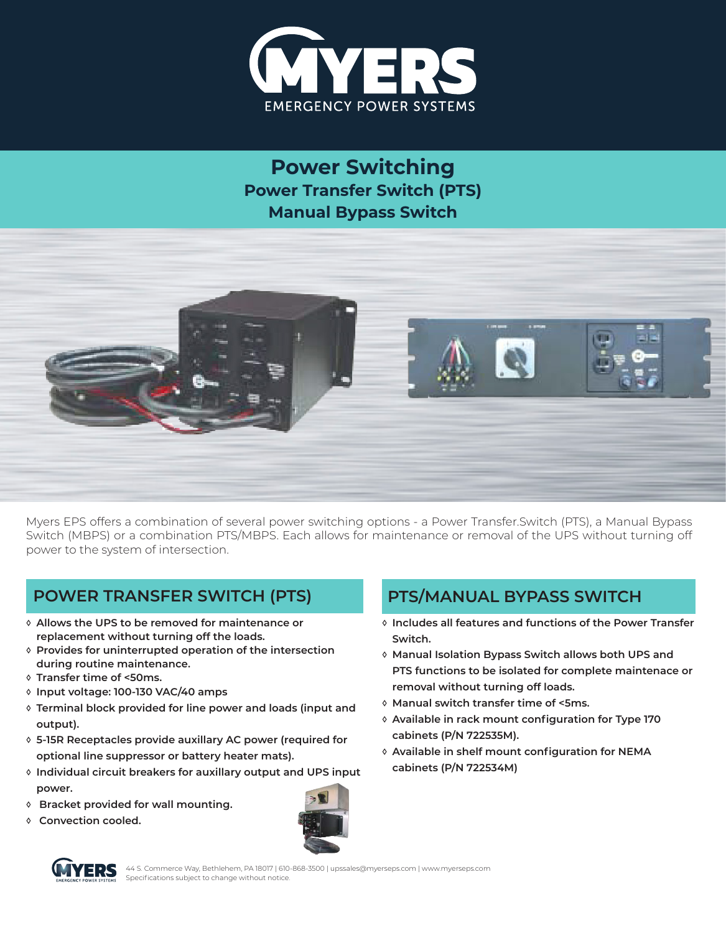

**Power Switching Power Transfer Switch (PTS) Manual Bypass Switch**



Myers EPS offers a combination of several power switching options - a Power Transfer.Switch (PTS), a Manual Bypass Switch (MBPS) or a combination PTS/MBPS. Each allows for maintenance or removal of the UPS without turning off power to the system of intersection.

## **POWER TRANSFER SWITCH (PTS) PTS/MANUAL BYPASS SWITCH**

- **◊ Allows the UPS to be removed for maintenance or replacement without turning off the loads.**
- **◊ Provides for uninterrupted operation of the intersection during routine maintenance.**
- **◊ Transfer time of <50ms.**
- **◊ Input voltage: 100-130 VAC/40 amps**
- **◊ Terminal block provided for line power and loads (input and output).**
- **◊ 5-15R Receptacles provide auxillary AC power (required for optional line suppressor or battery heater mats).**
- **◊ Individual circuit breakers for auxillary output and UPS input power.**
- **◊ Bracket provided for wall mounting.**
- **◊ Convection cooled.**



- **◊ Includes all features and functions of the Power Transfer Switch.**
- **◊ Manual Isolation Bypass Switch allows both UPS and PTS functions to be isolated for complete maintenace or removal without turning off loads.**
- **◊ Manual switch transfer time of <5ms.**
- **◊ Available in rack mount configuration for Type 170 cabinets (P/N 722535M).**
- **◊ Available in shelf mount configuration for NEMA cabinets (P/N 722534M)**



44 S. Commerce Way, Bethlehem, PA 18017 | 610-868-3500 | upssales@myerseps.com | www.myerseps.com Specifications subject to change without notice.